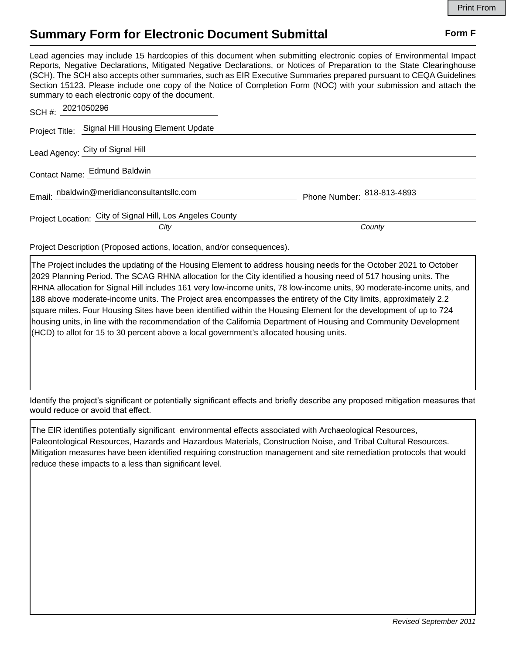## **Summary Form for Electronic Document Submittal Form F Form F**

Lead agencies may include 15 hardcopies of this document when submitting electronic copies of Environmental Impact Reports, Negative Declarations, Mitigated Negative Declarations, or Notices of Preparation to the State Clearinghouse (SCH). The SCH also accepts other summaries, such as EIR Executive Summaries prepared pursuant to CEQA Guidelines Section 15123. Please include one copy of the Notice of Completion Form (NOC) with your submission and attach the summary to each electronic copy of the document.

| SCH #: 2021050296                                                 |                            |
|-------------------------------------------------------------------|----------------------------|
| Project Title: Signal Hill Housing Element Update                 |                            |
| Lead Agency: City of Signal Hill                                  |                            |
| Contact Name: Edmund Baldwin                                      |                            |
| Email: nbaldwin@meridianconsultantsllc.com                        | Phone Number: 818-813-4893 |
| Project Location: City of Signal Hill, Los Angeles County<br>City | County                     |

Project Description (Proposed actions, location, and/or consequences).

The Project includes the updating of the Housing Element to address housing needs for the October 2021 to October 2029 Planning Period. The SCAG RHNA allocation for the City identified a housing need of 517 housing units. The RHNA allocation for Signal Hill includes 161 very low-income units, 78 low-income units, 90 moderate-income units, and 188 above moderate-income units. The Project area encompasses the entirety of the City limits, approximately 2.2 square miles. Four Housing Sites have been identified within the Housing Element for the development of up to 724 housing units, in line with the recommendation of the California Department of Housing and Community Development (HCD) to allot for 15 to 30 percent above a local government's allocated housing units.

Identify the project's significant or potentially significant effects and briefly describe any proposed mitigation measures that would reduce or avoid that effect.

The EIR identifies potentially significant environmental effects associated with Archaeological Resources, Paleontological Resources, Hazards and Hazardous Materials, Construction Noise, and Tribal Cultural Resources. Mitigation measures have been identified requiring construction management and site remediation protocols that would reduce these impacts to a less than significant level.